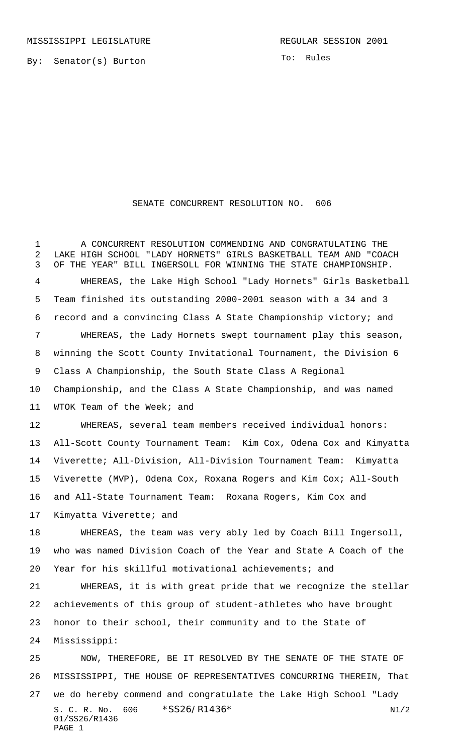By: Senator(s) Burton

To: Rules

## SENATE CONCURRENT RESOLUTION NO. 606

 A CONCURRENT RESOLUTION COMMENDING AND CONGRATULATING THE LAKE HIGH SCHOOL "LADY HORNETS" GIRLS BASKETBALL TEAM AND "COACH OF THE YEAR" BILL INGERSOLL FOR WINNING THE STATE CHAMPIONSHIP. WHEREAS, the Lake High School "Lady Hornets" Girls Basketball Team finished its outstanding 2000-2001 season with a 34 and 3 record and a convincing Class A State Championship victory; and WHEREAS, the Lady Hornets swept tournament play this season, winning the Scott County Invitational Tournament, the Division 6 Class A Championship, the South State Class A Regional Championship, and the Class A State Championship, and was named WTOK Team of the Week; and WHEREAS, several team members received individual honors: All-Scott County Tournament Team: Kim Cox, Odena Cox and Kimyatta Viverette; All-Division, All-Division Tournament Team: Kimyatta Viverette (MVP), Odena Cox, Roxana Rogers and Kim Cox; All-South and All-State Tournament Team: Roxana Rogers, Kim Cox and Kimyatta Viverette; and WHEREAS, the team was very ably led by Coach Bill Ingersoll, who was named Division Coach of the Year and State A Coach of the Year for his skillful motivational achievements; and WHEREAS, it is with great pride that we recognize the stellar achievements of this group of student-athletes who have brought honor to their school, their community and to the State of Mississippi: NOW, THEREFORE, BE IT RESOLVED BY THE SENATE OF THE STATE OF MISSISSIPPI, THE HOUSE OF REPRESENTATIVES CONCURRING THEREIN, That we do hereby commend and congratulate the Lake High School "Lady